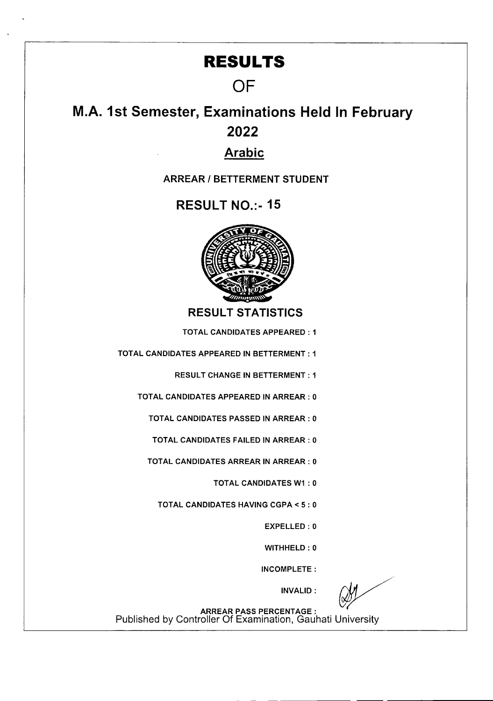## **RESULTS**

## **OF**

# **M.A. 1st Semester, Examinations Held In February 2022**

### **Arabic**

#### **ARREAR I BETTERMENT STUDENT**

RESULT NO.:- 15



**RESULT STATISTICS** 

TOTAL CANDIDATES APPEARED: I

TOTAL CANDIDATES APPEARED IN BETTERMENT: I

RESULT CHANGE IN BETTERMENT: 1

TOTAL CANDIDATES APPEARED IN ARREAR: 0

TOTAL CANDIDATES PASSED IN ARREAR: 0

TOTAL CANDIDATES FAILED IN ARREAR: 0

TOTAL CANDIDATES ARREAR IN ARREAR: 0

TOTAL CANDIDATES WI : 0

TOTAL CANDIDATES HAVING CGPA < 5: 0

EXPELLED: 0

WITHHELD: 0

INCOMPLETE:

INVALID:

ARREAR PASS PERCENTAGE: Published by Controller Of Examination, Gauhati University